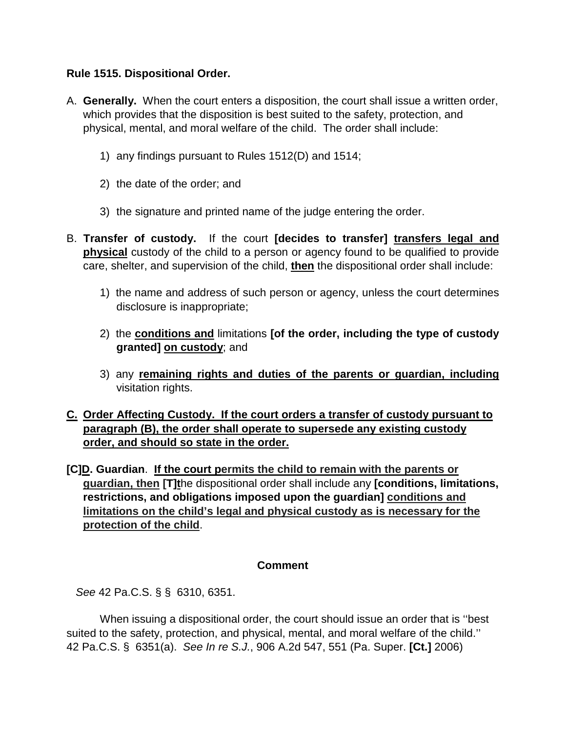## **Rule 1515. Dispositional Order.**

- A. **Generally.** When the court enters a disposition, the court shall issue a written order, which provides that the disposition is best suited to the safety, protection, and physical, mental, and moral welfare of the child. The order shall include:
	- 1) any findings pursuant to Rules 1512(D) and 1514;
	- 2) the date of the order; and
	- 3) the signature and printed name of the judge entering the order.
- B. **Transfer of custody.** If the court **[decides to transfer] transfers legal and physical** custody of the child to a person or agency found to be qualified to provide care, shelter, and supervision of the child, **then** the dispositional order shall include:
	- 1) the name and address of such person or agency, unless the court determines disclosure is inappropriate;
	- 2) the **conditions and** limitations **[of the order, including the type of custody granted] on custody**; and
	- 3) any **remaining rights and duties of the parents or guardian, including** visitation rights.

# **C. Order Affecting Custody. If the court orders a transfer of custody pursuant to paragraph (B), the order shall operate to supersede any existing custody order, and should so state in the order.**

**[C]D. Guardian**. **If the court permits the child to remain with the parents or guardian, then [T]t**he dispositional order shall include any **[conditions, limitations, restrictions, and obligations imposed upon the guardian] conditions and limitations on the child's legal and physical custody as is necessary for the protection of the child**.

### **Comment**

*See* 42 Pa.C.S. § § 6310, 6351.

 When issuing a dispositional order, the court should issue an order that is ''best suited to the safety, protection, and physical, mental, and moral welfare of the child.'' 42 Pa.C.S. § 6351(a). *See In re S.J.*, 906 A.2d 547, 551 (Pa. Super. **[Ct.]** 2006)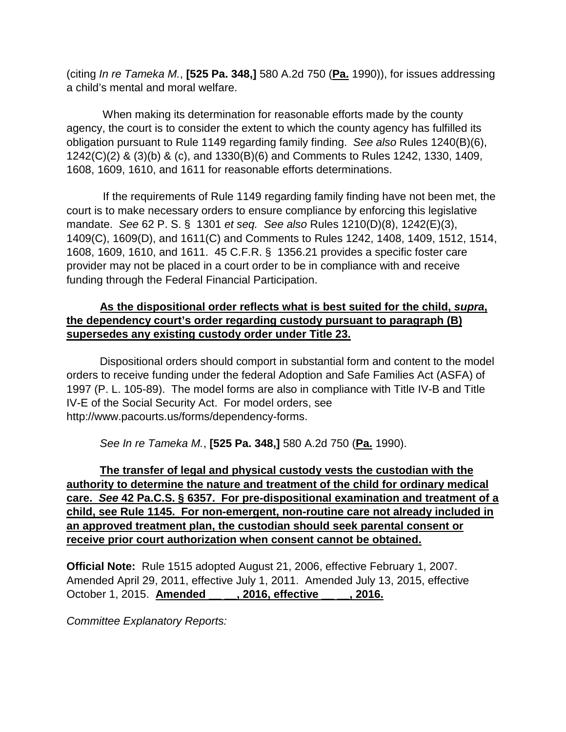(citing *In re Tameka M.*, **[525 Pa. 348,]** 580 A.2d 750 (**Pa.** 1990)), for issues addressing a child's mental and moral welfare.

 When making its determination for reasonable efforts made by the county agency, the court is to consider the extent to which the county agency has fulfilled its obligation pursuant to Rule 1149 regarding family finding. *See also* Rules 1240(B)(6), 1242(C)(2) & (3)(b) & (c), and 1330(B)(6) and Comments to Rules 1242, 1330, 1409, 1608, 1609, 1610, and 1611 for reasonable efforts determinations.

 If the requirements of Rule 1149 regarding family finding have not been met, the court is to make necessary orders to ensure compliance by enforcing this legislative mandate. *See* 62 P. S. § 1301 *et seq. See also* Rules 1210(D)(8), 1242(E)(3), 1409(C), 1609(D), and 1611(C) and Comments to Rules 1242, 1408, 1409, 1512, 1514, 1608, 1609, 1610, and 1611. 45 C.F.R. § 1356.21 provides a specific foster care provider may not be placed in a court order to be in compliance with and receive funding through the Federal Financial Participation.

# **As the dispositional order reflects what is best suited for the child,** *supra***, the dependency court's order regarding custody pursuant to paragraph (B) supersedes any existing custody order under Title 23.**

Dispositional orders should comport in substantial form and content to the model orders to receive funding under the federal Adoption and Safe Families Act (ASFA) of 1997 (P. L. 105-89). The model forms are also in compliance with Title IV-B and Title IV-E of the Social Security Act. For model orders, see http://www.pacourts.us/forms/dependency-forms.

*See In re Tameka M.*, **[525 Pa. 348,]** 580 A.2d 750 (**Pa.** 1990).

**The transfer of legal and physical custody vests the custodian with the authority to determine the nature and treatment of the child for ordinary medical care.** *See* **42 Pa.C.S. § 6357. For pre-dispositional examination and treatment of a child, see Rule 1145. For non-emergent, non-routine care not already included in an approved treatment plan, the custodian should seek parental consent or receive prior court authorization when consent cannot be obtained.**

**Official Note:** Rule 1515 adopted August 21, 2006, effective February 1, 2007. Amended April 29, 2011, effective July 1, 2011. Amended July 13, 2015, effective October 1, 2015. **Amended \_\_ \_\_, 2016, effective \_\_ \_\_, 2016.**

*Committee Explanatory Reports:*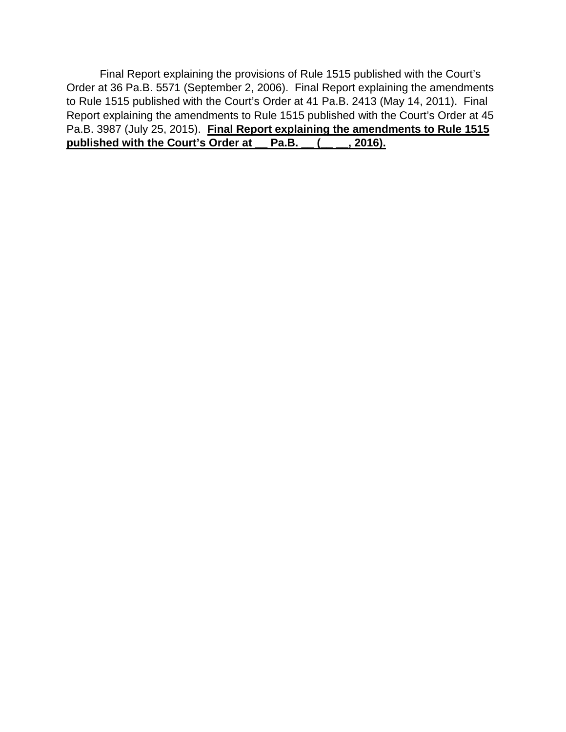Final Report explaining the provisions of Rule 1515 published with the Court's Order at 36 Pa.B. 5571 (September 2, 2006). Final Report explaining the amendments to Rule 1515 published with the Court's Order at 41 Pa.B. 2413 (May 14, 2011). Final Report explaining the amendments to Rule 1515 published with the Court's Order at 45 Pa.B. 3987 (July 25, 2015). **Final Report explaining the amendments to Rule 1515 published with the Court's Order at \_\_ Pa.B. \_\_ (\_\_ \_\_, 2016).**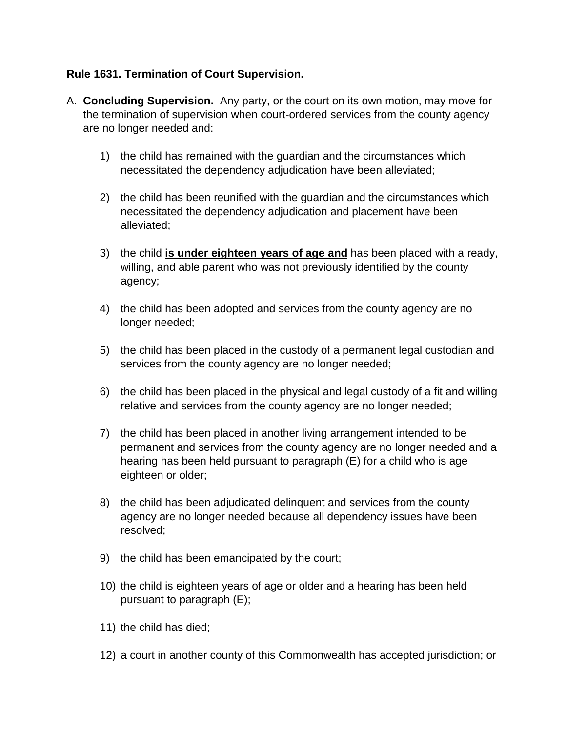# **Rule 1631. Termination of Court Supervision.**

- A. **Concluding Supervision.** Any party, or the court on its own motion, may move for the termination of supervision when court-ordered services from the county agency are no longer needed and:
	- 1) the child has remained with the guardian and the circumstances which necessitated the dependency adjudication have been alleviated;
	- 2) the child has been reunified with the guardian and the circumstances which necessitated the dependency adjudication and placement have been alleviated;
	- 3) the child **is under eighteen years of age and** has been placed with a ready, willing, and able parent who was not previously identified by the county agency;
	- 4) the child has been adopted and services from the county agency are no longer needed;
	- 5) the child has been placed in the custody of a permanent legal custodian and services from the county agency are no longer needed;
	- 6) the child has been placed in the physical and legal custody of a fit and willing relative and services from the county agency are no longer needed;
	- 7) the child has been placed in another living arrangement intended to be permanent and services from the county agency are no longer needed and a hearing has been held pursuant to paragraph (E) for a child who is age eighteen or older;
	- 8) the child has been adjudicated delinquent and services from the county agency are no longer needed because all dependency issues have been resolved;
	- 9) the child has been emancipated by the court;
	- 10) the child is eighteen years of age or older and a hearing has been held pursuant to paragraph (E);
	- 11) the child has died;
	- 12) a court in another county of this Commonwealth has accepted jurisdiction; or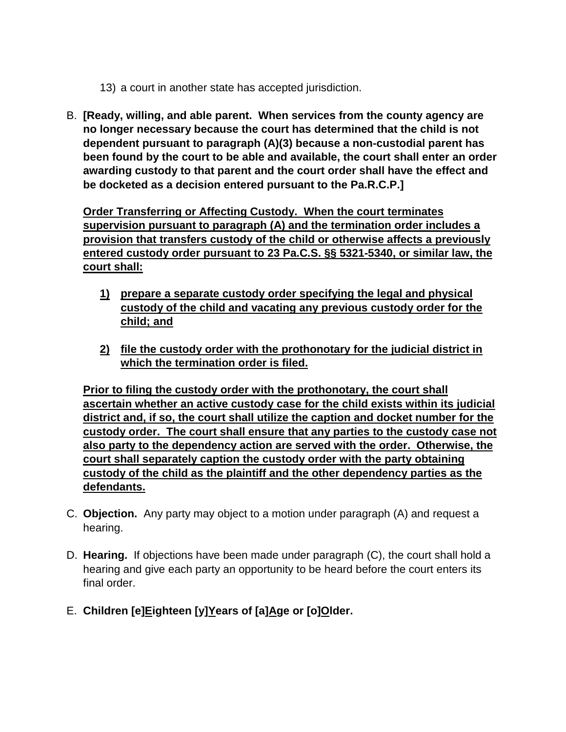- 13) a court in another state has accepted jurisdiction.
- B. **[Ready, willing, and able parent. When services from the county agency are no longer necessary because the court has determined that the child is not dependent pursuant to paragraph (A)(3) because a non-custodial parent has been found by the court to be able and available, the court shall enter an order awarding custody to that parent and the court order shall have the effect and be docketed as a decision entered pursuant to the Pa.R.C.P.]**

**Order Transferring or Affecting Custody. When the court terminates supervision pursuant to paragraph (A) and the termination order includes a provision that transfers custody of the child or otherwise affects a previously entered custody order pursuant to 23 Pa.C.S. §§ 5321-5340, or similar law, the court shall:**

- **1) prepare a separate custody order specifying the legal and physical custody of the child and vacating any previous custody order for the child; and**
- **2) file the custody order with the prothonotary for the judicial district in which the termination order is filed.**

**Prior to filing the custody order with the prothonotary, the court shall ascertain whether an active custody case for the child exists within its judicial district and, if so, the court shall utilize the caption and docket number for the custody order. The court shall ensure that any parties to the custody case not also party to the dependency action are served with the order. Otherwise, the court shall separately caption the custody order with the party obtaining custody of the child as the plaintiff and the other dependency parties as the defendants.**

- C. **Objection.**Any party may object to a motion under paragraph (A) and request a hearing.
- D. **Hearing.** If objections have been made under paragraph (C), the court shall hold a hearing and give each party an opportunity to be heard before the court enters its final order.
- E. **Children [e]Eighteen [y]Years of [a]Age or [o]Older.**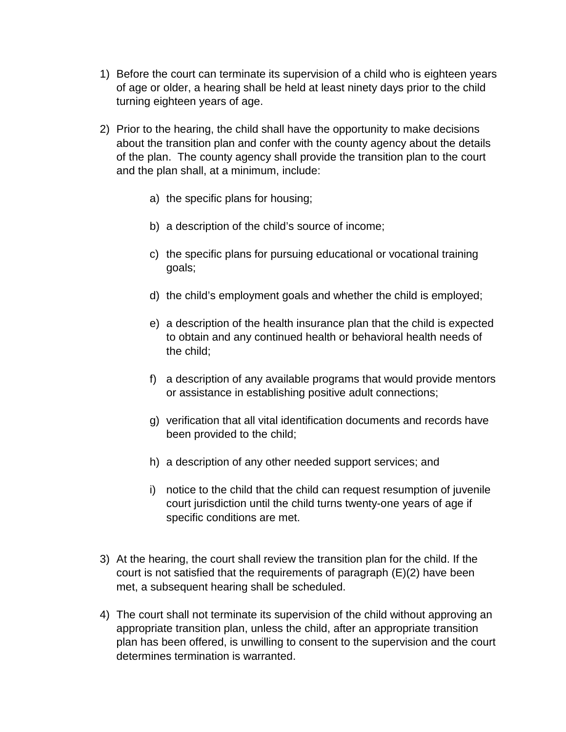- 1) Before the court can terminate its supervision of a child who is eighteen years of age or older, a hearing shall be held at least ninety days prior to the child turning eighteen years of age.
- 2) Prior to the hearing, the child shall have the opportunity to make decisions about the transition plan and confer with the county agency about the details of the plan. The county agency shall provide the transition plan to the court and the plan shall, at a minimum, include:
	- a) the specific plans for housing;
	- b) a description of the child's source of income;
	- c) the specific plans for pursuing educational or vocational training goals;
	- d) the child's employment goals and whether the child is employed;
	- e) a description of the health insurance plan that the child is expected to obtain and any continued health or behavioral health needs of the child;
	- f) a description of any available programs that would provide mentors or assistance in establishing positive adult connections;
	- g) verification that all vital identification documents and records have been provided to the child;
	- h) a description of any other needed support services; and
	- i) notice to the child that the child can request resumption of juvenile court jurisdiction until the child turns twenty-one years of age if specific conditions are met.
- 3) At the hearing, the court shall review the transition plan for the child. If the court is not satisfied that the requirements of paragraph (E)(2) have been met, a subsequent hearing shall be scheduled.
- 4) The court shall not terminate its supervision of the child without approving an appropriate transition plan, unless the child, after an appropriate transition plan has been offered, is unwilling to consent to the supervision and the court determines termination is warranted.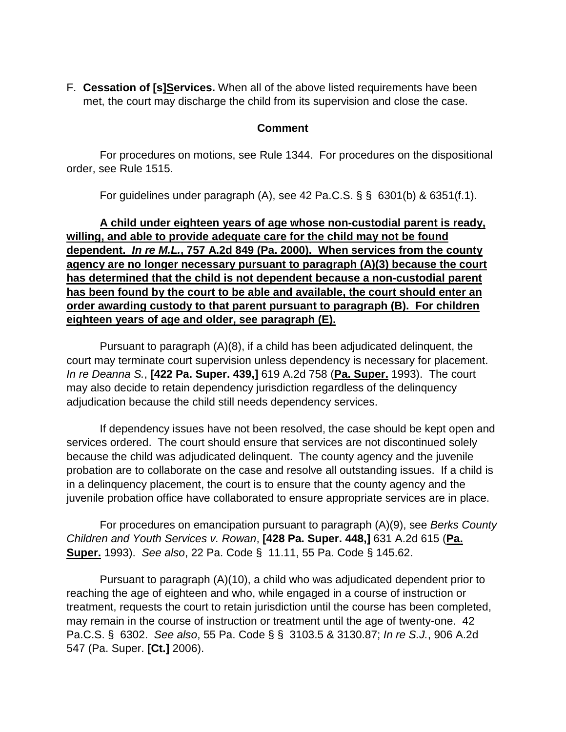F. **Cessation of [s]Services.** When all of the above listed requirements have been met, the court may discharge the child from its supervision and close the case.

#### **Comment**

For procedures on motions, see Rule 1344. For procedures on the dispositional order, see Rule 1515.

For guidelines under paragraph (A), see 42 Pa.C.S.  $\S$   $\S$  6301(b) & 6351(f.1).

**A child under eighteen years of age whose non-custodial parent is ready, willing, and able to provide adequate care for the child may not be found dependent.** *In re M.L.***, 757 A.2d 849 (Pa. 2000). When services from the county agency are no longer necessary pursuant to paragraph (A)(3) because the court has determined that the child is not dependent because a non-custodial parent has been found by the court to be able and available, the court should enter an order awarding custody to that parent pursuant to paragraph (B). For children eighteen years of age and older, see paragraph (E).**

 Pursuant to paragraph (A)(8), if a child has been adjudicated delinquent, the court may terminate court supervision unless dependency is necessary for placement. *In re Deanna S.*, **[422 Pa. Super. 439,]** 619 A.2d 758 (**Pa. Super.** 1993). The court may also decide to retain dependency jurisdiction regardless of the delinquency adjudication because the child still needs dependency services.

 If dependency issues have not been resolved, the case should be kept open and services ordered. The court should ensure that services are not discontinued solely because the child was adjudicated delinquent. The county agency and the juvenile probation are to collaborate on the case and resolve all outstanding issues. If a child is in a delinquency placement, the court is to ensure that the county agency and the juvenile probation office have collaborated to ensure appropriate services are in place.

 For procedures on emancipation pursuant to paragraph (A)(9), see *Berks County Children and Youth Services v. Rowan*, **[428 Pa. Super. 448,]** 631 A.2d 615 (**Pa. Super.** 1993). *See also*, 22 Pa. Code § 11.11, 55 Pa. Code § 145.62.

 Pursuant to paragraph (A)(10), a child who was adjudicated dependent prior to reaching the age of eighteen and who, while engaged in a course of instruction or treatment, requests the court to retain jurisdiction until the course has been completed, may remain in the course of instruction or treatment until the age of twenty-one. 42 Pa.C.S. § 6302. *See also*, 55 Pa. Code § § 3103.5 & 3130.87; *In re S.J.*, 906 A.2d 547 (Pa. Super. **[Ct.]** 2006).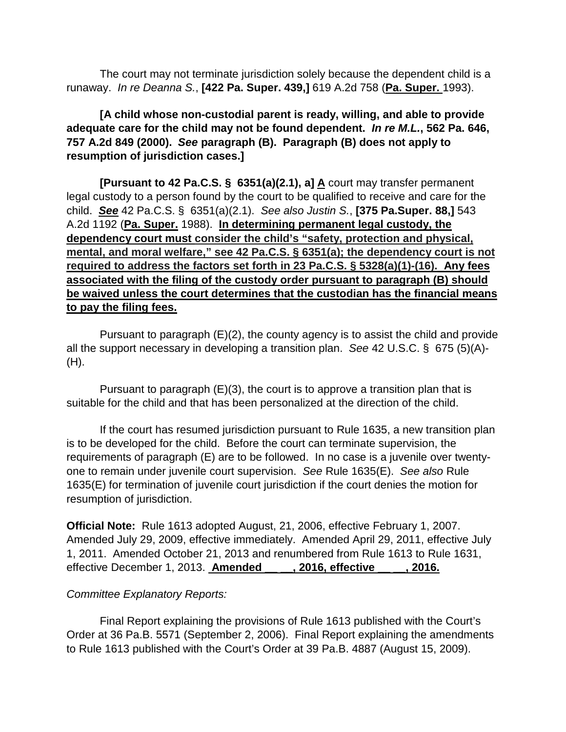The court may not terminate jurisdiction solely because the dependent child is a runaway. *In re Deanna S.*, **[422 Pa. Super. 439,]** 619 A.2d 758 (**Pa. Super.** 1993).

# **[A child whose non-custodial parent is ready, willing, and able to provide adequate care for the child may not be found dependent.** *In re M.L.***, 562 Pa. 646, 757 A.2d 849 (2000).** *See* **paragraph (B). Paragraph (B) does not apply to resumption of jurisdiction cases.]**

 **[Pursuant to 42 Pa.C.S. § 6351(a)(2.1), a] A** court may transfer permanent legal custody to a person found by the court to be qualified to receive and care for the child. *See* 42 Pa.C.S. § 6351(a)(2.1). *See also Justin S.*, **[375 Pa.Super. 88,]** 543 A.2d 1192 (**Pa. Super.** 1988). **In determining permanent legal custody, the dependency court must consider the child's "safety, protection and physical, mental, and moral welfare," see 42 Pa.C.S. § 6351(a); the dependency court is not required to address the factors set forth in 23 Pa.C.S. § 5328(a)(1)-(16). Any fees associated with the filing of the custody order pursuant to paragraph (B) should be waived unless the court determines that the custodian has the financial means to pay the filing fees.**

 Pursuant to paragraph (E)(2), the county agency is to assist the child and provide all the support necessary in developing a transition plan. *See* 42 U.S.C. § 675 (5)(A)- (H).

 Pursuant to paragraph (E)(3), the court is to approve a transition plan that is suitable for the child and that has been personalized at the direction of the child.

 If the court has resumed jurisdiction pursuant to Rule 1635, a new transition plan is to be developed for the child. Before the court can terminate supervision, the requirements of paragraph (E) are to be followed. In no case is a juvenile over twentyone to remain under juvenile court supervision. *See* Rule 1635(E). *See also* Rule 1635(E) for termination of juvenile court jurisdiction if the court denies the motion for resumption of jurisdiction.

**Official Note:** Rule 1613 adopted August, 21, 2006, effective February 1, 2007. Amended July 29, 2009, effective immediately. Amended April 29, 2011, effective July 1, 2011. Amended October 21, 2013 and renumbered from Rule 1613 to Rule 1631, effective December 1, 2013. **Amended \_\_ \_\_, 2016, effective \_\_ \_\_, 2016.**

### *Committee Explanatory Reports:*

 Final Report explaining the provisions of Rule 1613 published with the Court's Order at 36 Pa.B. 5571 (September 2, 2006). Final Report explaining the amendments to Rule 1613 published with the Court's Order at 39 Pa.B. 4887 (August 15, 2009).